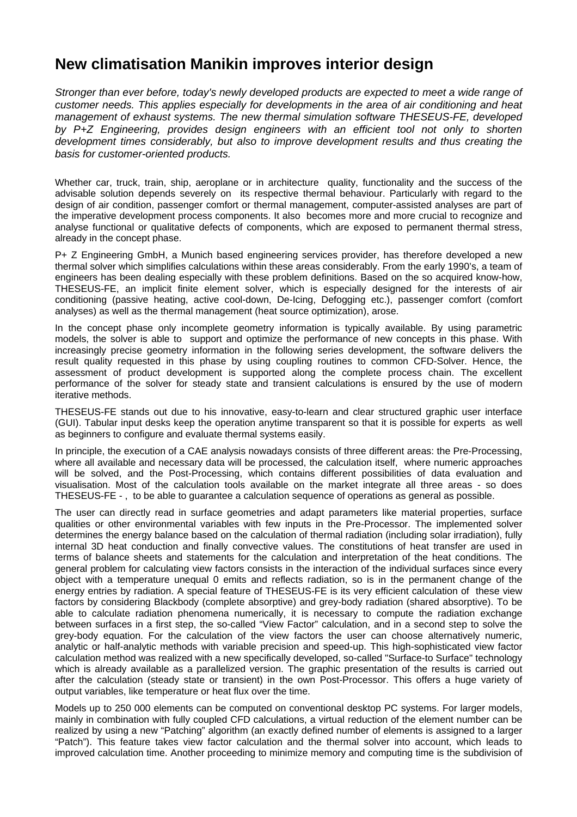## **New climatisation Manikin improves interior design**

*Stronger than ever before, today's newly developed products are expected to meet a wide range of customer needs. This applies especially for developments in the area of air conditioning and heat management of exhaust systems. The new thermal simulation software THESEUS-FE, developed by P+Z Engineering, provides design engineers with an efficient tool not only to shorten development times considerably, but also to improve development results and thus creating the basis for customer-oriented products.* 

Whether car, truck, train, ship, aeroplane or in architecture quality, functionality and the success of the advisable solution depends severely on its respective thermal behaviour. Particularly with regard to the design of air condition, passenger comfort or thermal management, computer-assisted analyses are part of the imperative development process components. It also becomes more and more crucial to recognize and analyse functional or qualitative defects of components, which are exposed to permanent thermal stress, already in the concept phase.

P+ Z Engineering GmbH, a Munich based engineering services provider, has therefore developed a new thermal solver which simplifies calculations within these areas considerably. From the early 1990's, a team of engineers has been dealing especially with these problem definitions. Based on the so acquired know-how, THESEUS-FE, an implicit finite element solver, which is especially designed for the interests of air conditioning (passive heating, active cool-down, De-Icing, Defogging etc.), passenger comfort (comfort analyses) as well as the thermal management (heat source optimization), arose.

In the concept phase only incomplete geometry information is typically available. By using parametric models, the solver is able to support and optimize the performance of new concepts in this phase. With increasingly precise geometry information in the following series development, the software delivers the result quality requested in this phase by using coupling routines to common CFD-Solver. Hence, the assessment of product development is supported along the complete process chain. The excellent performance of the solver for steady state and transient calculations is ensured by the use of modern iterative methods.

THESEUS-FE stands out due to his innovative, easy-to-learn and clear structured graphic user interface (GUI). Tabular input desks keep the operation anytime transparent so that it is possible for experts as well as beginners to configure and evaluate thermal systems easily.

In principle, the execution of a CAE analysis nowadays consists of three different areas: the Pre-Processing, where all available and necessary data will be processed, the calculation itself, where numeric approaches will be solved, and the Post-Processing, which contains different possibilities of data evaluation and visualisation. Most of the calculation tools available on the market integrate all three areas - so does THESEUS-FE - , to be able to guarantee a calculation sequence of operations as general as possible.

The user can directly read in surface geometries and adapt parameters like material properties, surface qualities or other environmental variables with few inputs in the Pre-Processor. The implemented solver determines the energy balance based on the calculation of thermal radiation (including solar irradiation), fully internal 3D heat conduction and finally convective values. The constitutions of heat transfer are used in terms of balance sheets and statements for the calculation and interpretation of the heat conditions. The general problem for calculating view factors consists in the interaction of the individual surfaces since every object with a temperature unequal 0 emits and reflects radiation, so is in the permanent change of the energy entries by radiation. A special feature of THESEUS-FE is its very efficient calculation of these view factors by considering Blackbody (complete absorptive) and grey-body radiation (shared absorptive). To be able to calculate radiation phenomena numerically, it is necessary to compute the radiation exchange between surfaces in a first step, the so-called "View Factor" calculation, and in a second step to solve the grey-body equation. For the calculation of the view factors the user can choose alternatively numeric, analytic or half-analytic methods with variable precision and speed-up. This high-sophisticated view factor calculation method was realized with a new specifically developed, so-called "Surface-to Surface" technology which is already available as a parallelized version. The graphic presentation of the results is carried out after the calculation (steady state or transient) in the own Post-Processor. This offers a huge variety of output variables, like temperature or heat flux over the time.

Models up to 250 000 elements can be computed on conventional desktop PC systems. For larger models, mainly in combination with fully coupled CFD calculations, a virtual reduction of the element number can be realized by using a new "Patching" algorithm (an exactly defined number of elements is assigned to a larger "Patch"). This feature takes view factor calculation and the thermal solver into account, which leads to improved calculation time. Another proceeding to minimize memory and computing time is the subdivision of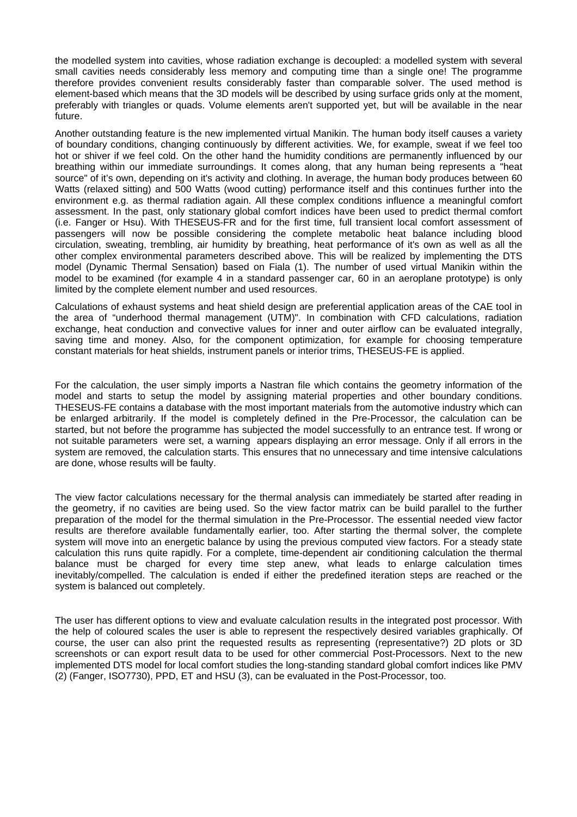the modelled system into cavities, whose radiation exchange is decoupled: a modelled system with several small cavities needs considerably less memory and computing time than a single one! The programme therefore provides convenient results considerably faster than comparable solver. The used method is element-based which means that the 3D models will be described by using surface grids only at the moment, preferably with triangles or quads. Volume elements aren't supported yet, but will be available in the near future.

Another outstanding feature is the new implemented virtual Manikin. The human body itself causes a variety of boundary conditions, changing continuously by different activities. We, for example, sweat if we feel too hot or shiver if we feel cold. On the other hand the humidity conditions are permanently influenced by our breathing within our immediate surroundings. It comes along, that any human being represents a "heat source" of it's own, depending on it's activity and clothing. In average, the human body produces between 60 Watts (relaxed sitting) and 500 Watts (wood cutting) performance itself and this continues further into the environment e.g. as thermal radiation again. All these complex conditions influence a meaningful comfort assessment. In the past, only stationary global comfort indices have been used to predict thermal comfort (i.e. Fanger or Hsu). With THESEUS-FR and for the first time, full transient local comfort assessment of passengers will now be possible considering the complete metabolic heat balance including blood circulation, sweating, trembling, air humidity by breathing, heat performance of it's own as well as all the other complex environmental parameters described above. This will be realized by implementing the DTS model (Dynamic Thermal Sensation) based on Fiala (1). The number of used virtual Manikin within the model to be examined (for example 4 in a standard passenger car, 60 in an aeroplane prototype) is only limited by the complete element number and used resources.

Calculations of exhaust systems and heat shield design are preferential application areas of the CAE tool in the area of "underhood thermal management (UTM)". In combination with CFD calculations, radiation exchange, heat conduction and convective values for inner and outer airflow can be evaluated integrally, saving time and money. Also, for the component optimization, for example for choosing temperature constant materials for heat shields, instrument panels or interior trims, THESEUS-FE is applied.

For the calculation, the user simply imports a Nastran file which contains the geometry information of the model and starts to setup the model by assigning material properties and other boundary conditions. THESEUS-FE contains a database with the most important materials from the automotive industry which can be enlarged arbitrarily. If the model is completely defined in the Pre-Processor, the calculation can be started, but not before the programme has subjected the model successfully to an entrance test. If wrong or not suitable parameters were set, a warning appears displaying an error message. Only if all errors in the system are removed, the calculation starts. This ensures that no unnecessary and time intensive calculations are done, whose results will be faulty.

The view factor calculations necessary for the thermal analysis can immediately be started after reading in the geometry, if no cavities are being used. So the view factor matrix can be build parallel to the further preparation of the model for the thermal simulation in the Pre-Processor. The essential needed view factor results are therefore available fundamentally earlier, too. After starting the thermal solver, the complete system will move into an energetic balance by using the previous computed view factors. For a steady state calculation this runs quite rapidly. For a complete, time-dependent air conditioning calculation the thermal balance must be charged for every time step anew, what leads to enlarge calculation times inevitably/compelled. The calculation is ended if either the predefined iteration steps are reached or the system is balanced out completely.

The user has different options to view and evaluate calculation results in the integrated post processor. With the help of coloured scales the user is able to represent the respectively desired variables graphically. Of course, the user can also print the requested results as representing (representative?) 2D plots or 3D screenshots or can export result data to be used for other commercial Post-Processors. Next to the new implemented DTS model for local comfort studies the long-standing standard global comfort indices like PMV (2) (Fanger, ISO7730), PPD, ET and HSU (3), can be evaluated in the Post-Processor, too.